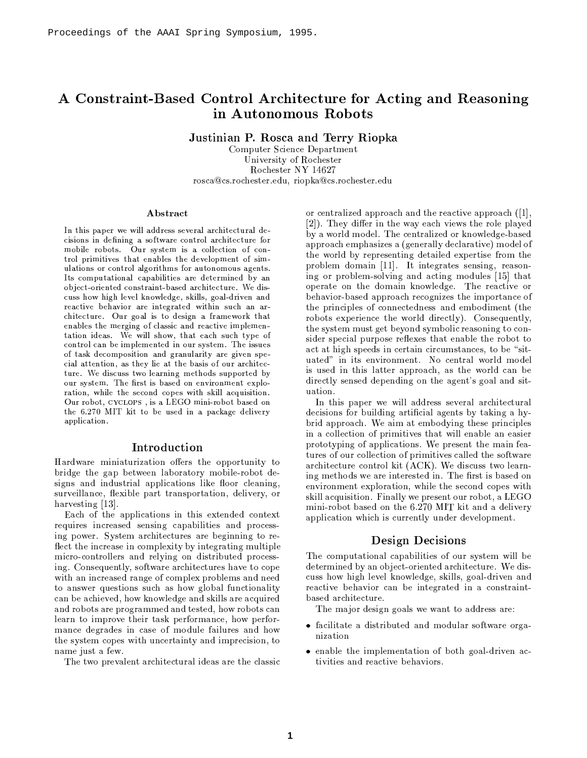# A Constraint-Based Control Architecture for Acting and Reasoning in Autonomous Robots

Justinian P. Rosca and Terry Riopka

Computer Science Department University of Rochester Rochester NY 14627 rosca@cs.rochester.edu, riopka@cs.rochester.edu

#### Abstract

In this paper we will address several architectural decisions in defining a software control architecture for mobile robots. Our system is a collection of control primitives that enables the development of simulations or control algorithms for autonomous agents. Its computational capabilities are determined by an object-oriented constraint-based architecture. We discuss how high level knowledge, skills, goal-driven and reactive behavior are integrated within such an architecture. Our goal is to design a framework that enables the merging of classic and reactive implementation ideas. We will show, that each such type of control can be implemented in our system. The issues of task decomposition and granularity are given special attention, as they lie at the basis of our architecture. We discuss two learning methods supported by our system. The first is based on environment exploration, while the second copes with skill acquisition. Our robot. CYCLOPS, is a LEGO mini-robot based on the 6.270 MIT kit to be used in a package delivery application.

### Introduction

Hardware miniaturization offers the opportunity to bridge the gap between laboratory mobile-robot designs and industrial applications like floor cleaning, surveillance, flexible part transportation, delivery, or harvesting  $[13]$ .

Each of the applications in this extended context requires increased sensing capabilities and processing power. System architectures are beginning to reflect the increase in complexity by integrating multiple micro-controllers and relying on distributed processing. Consequently, software architectures have to cope with an increased range of complex problems and need to answer questions such as how global functionality can be achieved, how knowledge and skills are acquired and robots are programmed and tested, how robots can learn to improve their task performance, how performance degrades in case of module failures and how the system copes with uncertainty and imprecision, to name just a few.

The two prevalent architectural ideas are the classic

or centralized approach and the reactive approach ([1], [2]). They differ in the way each views the role played by a world model. The centralized or knowledge-based approach emphasizes a (generally declarative) model of the world by representing detailed expertise from the problem domain [11]. It integrates sensing, reasoning or problem-solving and acting modules [15] that operate on the domain knowledge. The reactive or behavior-based approach recognizes the importance of the principles of connectedness and embodiment (the robots experience the world directly). Consequently, the system must get beyond symbolic reasoning to consider special purpose reflexes that enable the robot to act at high speeds in certain circumstances, to be "situated" in its environment. No central world model is used in this latter approach, as the world can be directly sensed depending on the agent's goal and situation.

In this paper we will address several architectural decisions for building artificial agents by taking a hybrid approach. We aim at embodying these principles in a collection of primitives that will enable an easier prototyping of applications. We present the main features of our collection of primitives called the software architecture control kit (ACK). We discuss two learning methods we are interested in. The first is based on environment exploration, while the second copes with skill acquisition. Finally we present our robot, a LEGO mini-robot based on the 6.270 MIT kit and a delivery application which is currently under development.

### **Design Decisions**

The computational capabilities of our system will be determined by an object-oriented architecture. We discuss how high level knowledge, skills, goal-driven and reactive behavior can be integrated in a constraintbased architecture.

The major design goals we want to address are:

- facilitate a distributed and modular software organization
- enable the implementation of both goal-driven activities and reactive behaviors.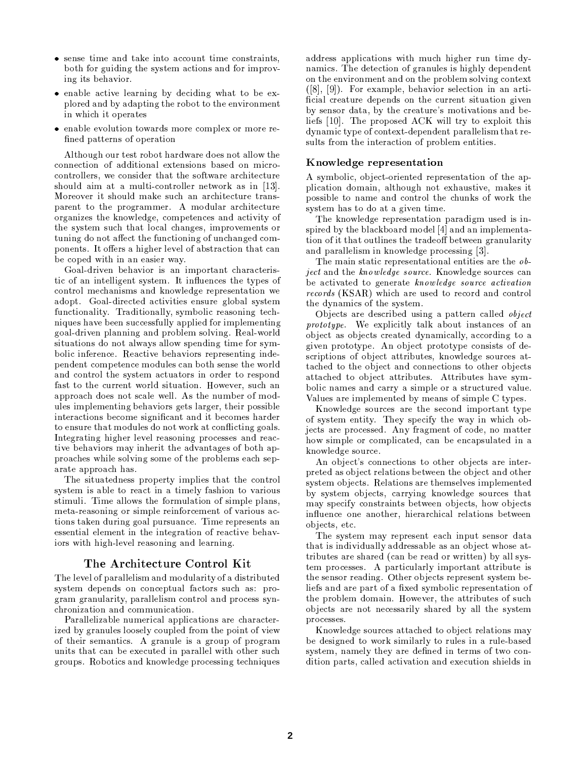- sense time and take into account time constraints. both for guiding the system actions and for improving its behavior.
- enable active learning by deciding what to be explored and by adapting the robot to the environment in which it operates
- enable evolution towards more complex or more refined patterns of operation

Although our test robot hardware does not allow the connection of additional extensions based on microcontrollers, we consider that the software architecture should aim at a multi-controller network as in [13]. Moreover it should make such an architecture transparent to the programmer. A modular architecture organizes the knowledge, competences and activity of the system such that local changes, improvements or tuning do not affect the functioning of unchanged components. It offers a higher level of abstraction that can be coped with in an easier way.

Goal-driven behavior is an important characteristic of an intelligent system. It influences the types of control mechanisms and knowledge representation we adopt. Goal-directed activities ensure global system functionality. Traditionally, symbolic reasoning techniques have been successfully applied for implementing goal-driven planning and problem solving. Real-world situations do not always allow spending time for symbolic inference. Reactive behaviors representing independent competence modules can both sense the world and control the system actuators in order to respond fast to the current world situation. However, such an approach does not scale well. As the number of modules implementing behaviors gets larger, their possible interactions become significant and it becomes harder to ensure that modules do not work at conflicting goals. Integrating higher level reasoning processes and reactive behaviors may inherit the advantages of both approaches while solving some of the problems each separate approach has.

The situatedness property implies that the control system is able to react in a timely fashion to various stimuli. Time allows the formulation of simple plans, meta-reasoning or simple reinforcement of various actions taken during goal pursuance. Time represents an essential element in the integration of reactive behaviors with high-level reasoning and learning.

## The Architecture Control Kit

The level of parallelism and modularity of a distributed system depends on conceptual factors such as: program granularity, parallelism control and process synchronization and communication.

Parallelizable numerical applications are characterized by granules loosely coupled from the point of view of their semantics. A granule is a group of program units that can be executed in parallel with other such groups. Robotics and knowledge processing techniques

address applications with much higher run time dynamics. The detection of granules is highly dependent on the environment and on the problem solving context ([8], [9]). For example, behavior selection in an artificial creature depends on the current situation given by sensor data, by the creature's motivations and beliefs [10]. The proposed ACK will try to exploit this dynamic type of context-dependent parallelism that results from the interaction of problem entities.

### Knowledge representation

A symbolic, object-oriented representation of the application domain, although not exhaustive, makes it possible to name and control the chunks of work the system has to do at a given time.

The knowledge representation paradigm used is inspired by the blackboard model [4] and an implementation of it that outlines the tradeoff between granularity and parallelism in knowledge processing [3].

The main static representational entities are the object and the knowledge source. Knowledge sources can be activated to generate knowledge source activation *records* (KSAR) which are used to record and control the dynamics of the system.

Objects are described using a pattern called *object* prototype. We explicitly talk about instances of an object as objects created dynamically, according to a given prototype. An object prototype consists of descriptions of object attributes, knowledge sources attached to the object and connections to other objects attached to object attributes. Attributes have symbolic names and carry a simple or a structured value. Values are implemented by means of simple C types.

Knowledge sources are the second important type of system entity. They specify the way in which objects are processed. Any fragment of code, no matter how simple or complicated, can be encapsulated in a knowledge source.

An object's connections to other objects are interpreted as object relations between the object and other system objects. Relations are themselves implemented by system objects, carrying knowledge sources that may specify constraints between objects, how objects influence one another, hierarchical relations between objects, etc.

The system may represent each input sensor data that is individually addressable as an object whose attributes are shared (can be read or written) by all system processes. A particularly important attribute is the sensor reading. Other objects represent system beliefs and are part of a fixed symbolic representation of the problem domain. However, the attributes of such objects are not necessarily shared by all the system processes.

Knowledge sources attached to object relations may be designed to work similarly to rules in a rule-based system, namely they are defined in terms of two condition parts, called activation and execution shields in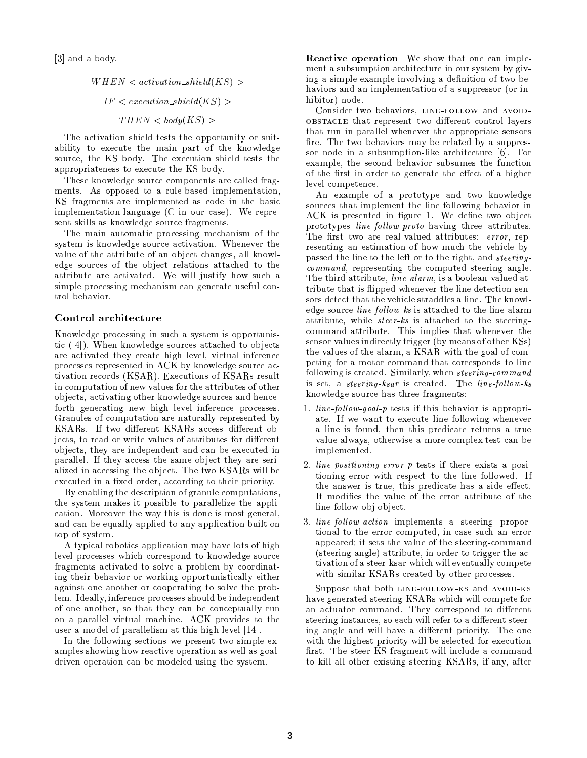[3] and a body.

 $WHEN < activation\_shield(KS)$  $IF < execution\_shield(KS)$  $THEN < *body(KS)*$ 

The activation shield tests the opportunity or suitability to execute the main part of the knowledge source, the KS body. The execution shield tests the appropriateness to execute the KS body.

These knowledge source components are called fragments. As opposed to a rule-based implementation. KS fragments are implemented as code in the basic implementation language (C in our case). We represent skills as knowledge source fragments.

The main automatic processing mechanism of the system is knowledge source activation. Whenever the value of the attribute of an object changes, all knowledge sources of the object relations attached to the attribute are activated. We will justify how such a simple processing mechanism can generate useful control behavior.

### Control architecture

Knowledge processing in such a system is opportunistic  $(4)$ . When knowledge sources attached to objects are activated they create high level, virtual inference processes represented in ACK by knowledge source activation records (KSAR). Executions of KSARs result in computation of new values for the attributes of other objects, activating other knowledge sources and henceforth generating new high level inference processes. Granules of computation are naturally represented by KSARs. If two different KSARs access different objects, to read or write values of attributes for different objects, they are independent and can be executed in parallel. If they access the same object they are serialized in accessing the object. The two KSARs will be executed in a fixed order, according to their priority.

By enabling the description of granule computations. the system makes it possible to parallelize the application. Moreover the way this is done is most general. and can be equally applied to any application built on top of system.

A typical robotics application may have lots of high level processes which correspond to knowledge source fragments activated to solve a problem by coordinating their behavior or working opportunistically either against one another or cooperating to solve the problem. Ideally, inference processes should be independent of one another, so that they can be conceptually run on a parallel virtual machine. ACK provides to the user a model of parallelism at this high level [14].

In the following sections we present two simple examples showing how reactive operation as well as goaldriven operation can be modeled using the system.

**Reactive operation** We show that one can implement a subsumption architecture in our system by giving a simple example involving a definition of two behaviors and an implementation of a suppressor (or inhibitor) node.

Consider two behaviors, LINE-FOLLOW and AVOID-OBSTACLE that represent two different control layers that run in parallel whenever the appropriate sensors fire. The two behaviors may be related by a suppressor node in a subsumption-like architecture [6]. For example, the second behavior subsumes the function of the first in order to generate the effect of a higher level competence.

An example of a prototype and two knowledge sources that implement the line following behavior in ACK is presented in figure 1. We define two object prototypes line-follow-proto having three attributes. The first two are real-valued attributes: error, representing an estimation of how much the vehicle bypassed the line to the left or to the right, and steering*command*, representing the computed steering angle. The third attribute, line-alarm, is a boolean-valued attribute that is flipped whenever the line detection sensors detect that the vehicle straddles a line. The knowledge source  $line-flow$ -ks is attached to the line-alarm attribute, while *steer-ks* is attached to the steeringcommand attribute. This implies that whenever the sensor values indirectly trigger (by means of other KSs) the values of the alarm, a KSAR with the goal of competing for a motor command that corresponds to line following is created. Similarly, when steering-command is set, a *steering* ksar is created. The line-follow-ks knowledge source has three fragments:

- 1. line-follow-goal-p tests if this behavior is appropriate. If we want to execute line following whenever a line is found, then this predicate returns a true value always, otherwise a more complex test can be implemented.
- 2. line-positioning-error-p tests if there exists a positioning error with respect to the line followed. If the answer is true, this predicate has a side effect. It modifies the value of the error attribute of the line-follow-obj object.
- 3. line-follow-action implements a steering proportional to the error computed, in case such an error appeared; it sets the value of the steering-command (steering angle) attribute, in order to trigger the activation of a steer-ksar which will eventually compete with similar KSARs created by other processes.

Suppose that both LINE-FOLLOW-KS and AVOID-KS have generated steering KSARs which will compete for an actuator command. They correspond to different steering instances, so each will refer to a different steering angle and will have a different priority. The one with the highest priority will be selected for execution first. The steer KS fragment will include a command to kill all other existing steering KSARs, if any, after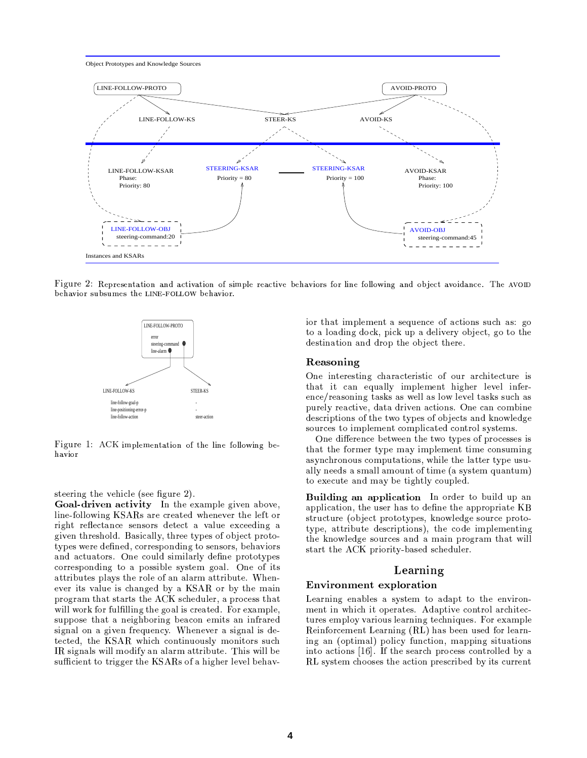

Figure 2: Representation and activation of simple reactive behaviors for line following and object avoidance. The AVOID behavior subsumes the LINE-FOLLOW behavior.



Figure 1: ACK implementation of the line following behavior

steering the vehicle (see figure 2).

Goal-driven activity In the example given above, line-following KSARs are created whenever the left or right reflectance sensors detect a value exceeding a given threshold. Basically, three types of object prototypes were defined, corresponding to sensors, behaviors and actuators. One could similarly define prototypes corresponding to a possible system goal. One of its attributes plays the role of an alarm attribute. Whenever its value is changed by a KSAR or by the main program that starts the ACK scheduler, a process that will work for fulfilling the goal is created. For example, suppose that a neighboring beacon emits an infrared signal on a given frequency. Whenever a signal is detected, the KSAR which continuously monitors such IR signals will modify an alarm attribute. This will be sufficient to trigger the KSARs of a higher level behavior that implement a sequence of actions such as: go to a loading dock, pick up a delivery object, go to the destination and drop the object there.

### Reasoning

One interesting characteristic of our architecture is that it can equally implement higher level inference/reasoning tasks as well as low level tasks such as purely reactive, data driven actions. One can combine descriptions of the two types of objects and knowledge sources to implement complicated control systems.

One difference between the two types of processes is that the former type may implement time consuming asynchronous computations, while the latter type usually needs a small amount of time (a system quantum) to execute and may be tightly coupled.

**Building an application** In order to build up an application, the user has to define the appropriate KB structure (object prototypes, knowledge source prototype, attribute descriptions), the code implementing the knowledge sources and a main program that will start the ACK priority-based scheduler.

## Learning

### **Environment** exploration

Learning enables a system to adapt to the environment in which it operates. Adaptive control architectures employ various learning techniques. For example Reinforcement Learning (RL) has been used for learning an (optimal) policy function, mapping situations into actions [16]. If the search process controlled by a RL system chooses the action prescribed by its current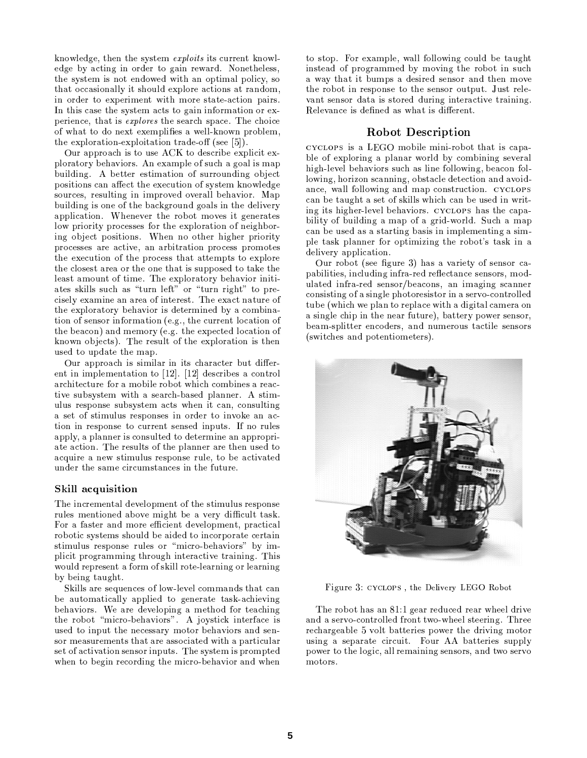knowledge, then the system *exploits* its current knowledge by acting in order to gain reward. Nonetheless, the system is not endowed with an optimal policy, so that occasionally it should explore actions at random, in order to experiment with more state-action pairs. In this case the system acts to gain information or experience, that is *explores* the search space. The choice of what to do next exemplifies a well-known problem. the exploration-exploitation trade-off (see [5]).

Our approach is to use ACK to describe explicit exploratory behaviors. An example of such a goal is map building. A better estimation of surrounding object positions can affect the execution of system knowledge sources, resulting in improved overall behavior. Map building is one of the background goals in the delivery application. Whenever the robot moves it generates low priority processes for the exploration of neighboring object positions. When no other higher priority processes are active, an arbitration process promotes the execution of the process that attempts to explore the closest area or the one that is supposed to take the least amount of time. The exploratory behavior initiates skills such as "turn left" or "turn right" to precisely examine an area of interest. The exact nature of the exploratory behavior is determined by a combination of sensor information (e.g., the current location of the beacon) and memory (e.g. the expected location of known objects). The result of the exploration is then used to update the map.

Our approach is similar in its character but different in implementation to  $[12]$ .  $[12]$  describes a control architecture for a mobile robot which combines a reactive subsystem with a search-based planner. A stimulus response subsystem acts when it can, consulting a set of stimulus responses in order to invoke an action in response to current sensed inputs. If no rules apply, a planner is consulted to determine an appropriate action. The results of the planner are then used to acquire a new stimulus response rule, to be activated under the same circumstances in the future.

## Skill acquisition

The incremental development of the stimulus response rules mentioned above might be a very difficult task. For a faster and more efficient development, practical robotic systems should be aided to incorporate certain stimulus response rules or "micro-behaviors" by implicit programming through interactive training. This would represent a form of skill rote-learning or learning by being taught.

Skills are sequences of low-level commands that can be automatically applied to generate task-achieving behaviors. We are developing a method for teaching the robot "micro-behaviors". A joystick interface is used to input the necessary motor behaviors and sensor measurements that are associated with a particular set of activation sensor inputs. The system is prompted when to begin recording the micro-behavior and when

to stop. For example, wall following could be taught instead of programmed by moving the robot in such a way that it bumps a desired sensor and then move the robot in response to the sensor output. Just relevant sensor data is stored during interactive training. Relevance is defined as what is different.

## **Robot Description**

CYCLOPS is a LEGO mobile mini-robot that is capable of exploring a planar world by combining several high-level behaviors such as line following, beacon following, horizon scanning, obstacle detection and avoidance, wall following and map construction. CYCLOPS can be taught a set of skills which can be used in writing its higher-level behaviors. CYCLOPS has the capability of building a map of a grid-world. Such a map can be used as a starting basis in implementing a simple task planner for optimizing the robot's task in a delivery application.

Our robot (see figure 3) has a variety of sensor capabilities, including infra-red reflectance sensors, modulated infra-red sensor/beacons, an imaging scanner consisting of a single photoresistor in a servo-controlled tube (which we plan to replace with a digital camera on a single chip in the near future), battery power sensor, beam-splitter encoders, and numerous tactile sensors (switches and potentiometers).



Figure 3: CYCLOPS, the Delivery LEGO Robot

The robot has an 81:1 gear reduced rear wheel drive and a servo-controlled front two-wheel steering. Three rechargeable 5 volt batteries power the driving motor using a separate circuit. Four AA batteries supply power to the logic, all remaining sensors, and two servo motors.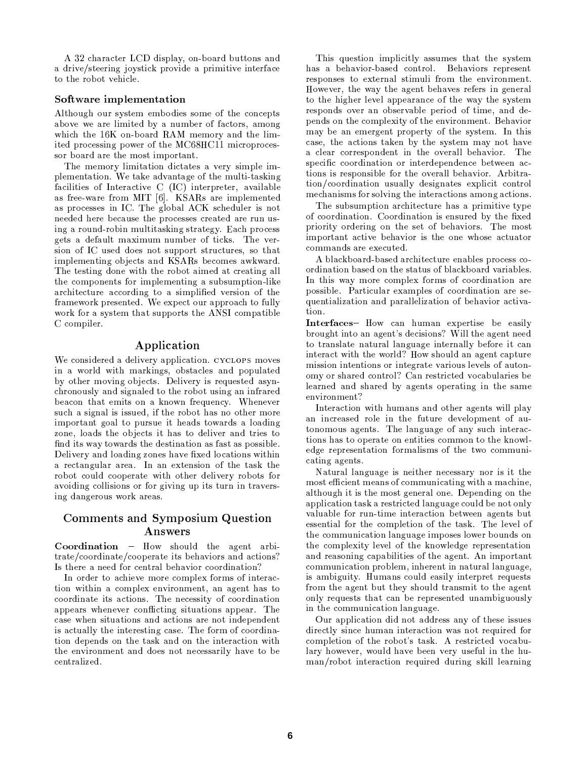A 32 character LCD display, on-board buttons and a drive/steering joystick provide a primitive interface to the robot vehicle.

### Software implementation

Although our system embodies some of the concepts above we are limited by a number of factors, among which the 16K on-board RAM memory and the limited processing power of the MC68HC11 microprocessor board are the most important.

The memory limitation dictates a very simple implementation. We take advantage of the multi-tasking facilities of Interactive C (IC) interpreter, available as free-ware from MIT [6]. KSARs are implemented as processes in IC. The global ACK scheduler is not needed here because the processes created are run using a round-robin multitasking strategy. Each process gets a default maximum number of ticks. The version of IC used does not support structures, so that implementing objects and KSARs becomes awkward. The testing done with the robot aimed at creating all the components for implementing a subsumption-like architecture according to a simplified version of the framework presented. We expect our approach to fully work for a system that supports the ANSI compatible C compiler.

# Application

We considered a delivery application. CYCLOPS moves in a world with markings, obstacles and populated by other moving objects. Delivery is requested asynchronously and signaled to the robot using an infrared beacon that emits on a known frequency. Whenever such a signal is issued, if the robot has no other more important goal to pursue it heads towards a loading zone, loads the objects it has to deliver and tries to find its way towards the destination as fast as possible. Delivery and loading zones have fixed locations within a rectangular area. In an extension of the task the robot could cooperate with other delivery robots for avoiding collisions or for giving up its turn in traversing dangerous work areas.

# Comments and Symposium Question Answers

Coordination - How should the agent arbitrate/coordinate/cooperate its behaviors and actions? Is there a need for central behavior coordination?

In order to achieve more complex forms of interaction within a complex environment, an agent has to coordinate its actions. The necessity of coordination appears whenever conflicting situations appear. The case when situations and actions are not independent is actually the interesting case. The form of coordination depends on the task and on the interaction with the environment and does not necessarily have to be centralized.

This question implicitly assumes that the system has a behavior-based control. Behaviors represent responses to external stimuli from the environment. However, the way the agent behaves refers in general to the higher level appearance of the way the system responds over an observable period of time, and depends on the complexity of the environment. Behavior may be an emergent property of the system. In this case, the actions taken by the system may not have a clear correspondent in the overall behavior. The specific coordination or interdependence between actions is responsible for the overall behavior. Arbitration/coordination usually designates explicit control mechanisms for solving the interactions among actions.

The subsumption architecture has a primitive type of coordination. Coordination is ensured by the fixed priority ordering on the set of behaviors. The most important active behavior is the one whose actuator commands are executed.

A blackboard-based architecture enables process coordination based on the status of blackboard variables. In this way more complex forms of coordination are possible. Particular examples of coordination are sequentialization and parallelization of behavior activation.

**Interfaces-** How can human expertise be easily brought into an agent's decisions? Will the agent need to translate natural language internally before it can interact with the world? How should an agent capture mission intentions or integrate various levels of autonomy or shared control? Can restricted vocabularies be learned and shared by agents operating in the same environment?

Interaction with humans and other agents will play an increased role in the future development of autonomous agents. The language of any such interactions has to operate on entities common to the knowledge representation formalisms of the two communicating agents.

Natural language is neither necessary nor is it the most efficient means of communicating with a machine. although it is the most general one. Depending on the application task a restricted language could be not only valuable for run-time interaction between agents but essential for the completion of the task. The level of the communication language imposes lower bounds on the complexity level of the knowledge representation and reasoning capabilities of the agent. An important communication problem, inherent in natural language, is ambiguity. Humans could easily interpret requests from the agent but they should transmit to the agent only requests that can be represented unambiguously in the communication language.

Our application did not address any of these issues directly since human interaction was not required for completion of the robot's task. A restricted vocabulary however, would have been very useful in the human/robot interaction required during skill learning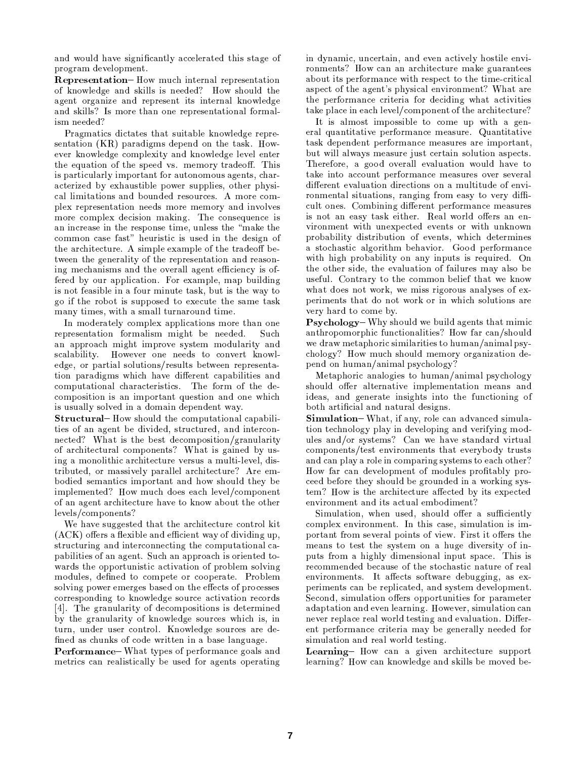and would have significantly accelerated this stage of program development.

**Representation-** How much internal representation of knowledge and skills is needed? How should the agent organize and represent its internal knowledge and skills? Is more than one representational formalism needed?

Pragmatics dictates that suitable knowledge representation (KR) paradigms depend on the task. However knowledge complexity and knowledge level enter the equation of the speed vs. memory tradeoff. This is particularly important for autonomous agents, characterized by exhaustible power supplies, other physical limitations and bounded resources. A more complex representation needs more memory and involves more complex decision making. The consequence is an increase in the response time, unless the "make the common case fast" heuristic is used in the design of the architecture. A simple example of the tradeoff between the generality of the representation and reasoning mechanisms and the overall agent efficiency is of fered by our application. For example, map building is not feasible in a four minute task, but is the way to go if the robot is supposed to execute the same task many times, with a small turnaround time.

In moderately complex applications more than one representation formalism might be needed. Such an approach might improve system modularity and scalability. However one needs to convert knowledge, or partial solutions/results between representation paradigms which have different capabilities and computational characteristics. The form of the decomposition is an important question and one which is usually solved in a domain dependent way.

**Structural-** How should the computational capabilities of an agent be divided, structured, and interconnected? What is the best decomposition/granularity of architectural components? What is gained by using a monolithic architecture versus a multi-level, distributed, or massively parallel architecture? Are embodied semantics important and how should they be implemented? How much does each level/component of an agent architecture have to know about the other levels/components?

We have suggested that the architecture control kit (ACK) offers a flexible and efficient way of dividing up. structuring and interconnecting the computational capabilities of an agent. Such an approach is oriented towards the opportunistic activation of problem solving modules, defined to compete or cooperate. Problem solving power emerges based on the effects of processes corresponding to knowledge source activation records [4]. The granularity of decompositions is determined by the granularity of knowledge sources which is, in turn, under user control. Knowledge sources are defined as chunks of code written in a base language.

Performance-What types of performance goals and metrics can realistically be used for agents operating in dynamic, uncertain, and even actively hostile environments? How can an architecture make guarantees about its performance with respect to the time-critical aspect of the agent's physical environment? What are the performance criteria for deciding what activities take place in each level/component of the architecture?

It is almost impossible to come up with a general quantitative performance measure. Quantitative task dependent performance measures are important, but will always measure just certain solution aspects. Therefore, a good overall evaluation would have to take into account performance measures over several different evaluation directions on a multitude of environmental situations, ranging from easy to very difficult ones. Combining different performance measures is not an easy task either. Real world offers an environment with unexpected events or with unknown probability distribution of events, which determines a stochastic algorithm behavior. Good performance with high probability on any inputs is required. On the other side, the evaluation of failures may also be useful. Contrary to the common belief that we know what does not work, we miss rigorous analyses of experiments that do not work or in which solutions are very hard to come by.

Psychology-Why should we build agents that mimic anthropomorphic functionalities? How far can/should we draw metaphoric similarities to human/animal psychology? How much should memory organization depend on human/animal psychology?

Metaphoric analogies to human/animal psychology should offer alternative implementation means and ideas, and generate insights into the functioning of both artificial and natural designs.

**Simulation**–What, if any, role can advanced simulation technology play in developing and verifying modules and/or systems? Can we have standard virtual components/test environments that everybody trusts and can play a role in comparing systems to each other? How far can development of modules profitably proceed before they should be grounded in a working system? How is the architecture affected by its expected environment and its actual embodiment?

Simulation, when used, should offer a sufficiently complex environment. In this case, simulation is important from several points of view. First it offers the means to test the system on a huge diversity of inputs from a highly dimensional input space. This is recommended because of the stochastic nature of real environments. It affects software debugging, as experiments can be replicated, and system development. Second, simulation offers opportunities for parameter adaptation and even learning. However, simulation can never replace real world testing and evaluation. Different performance criteria may be generally needed for simulation and real world testing.

Learning- How can a given architecture support learning? How can knowledge and skills be moved be